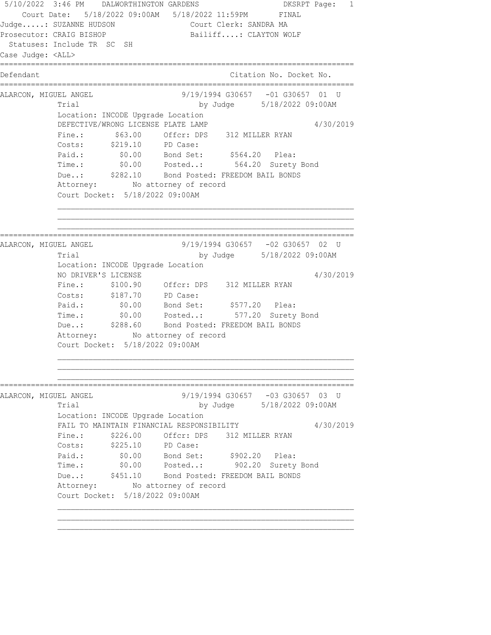5/10/2022 3:46 PM DALWORTHINGTON GARDENS DKSRPT Page: 1 Court Date: 5/18/2022 09:00AM 5/18/2022 11:59PM FINAL Judge.....: SUZANNE HUDSON Court Clerk: SANDRA MA Prosecutor: CRAIG BISHOP Bailiff....: CLAYTON WOLF Statuses: Include TR SC SH Case Judge: <ALL> ================================================================================ Defendant Citation No. Docket No. ================================================================================ ALARCON, MIGUEL ANGEL 9/19/1994 G30657 -01 G30657 01 U Trial by Judge 5/18/2022 09:00AM Location: INCODE Upgrade Location DEFECTIVE/WRONG LICENSE PLATE LAMP  $4/30/2019$  Fine.: \$63.00 Offcr: DPS 312 MILLER RYAN Costs: \$219.10 PD Case: Paid.: \$0.00 Bond Set: \$564.20 Plea: Time.: \$0.00 Posted..: 564.20 Surety Bond Due..: \$282.10 Bond Posted: FREEDOM BAIL BONDS Attorney: No attorney of record Court Docket: 5/18/2022 09:00AM ================================================================================ ALARCON, MIGUEL ANGEL 9/19/1994 G30657 -02 G30657 02 U Trial by Judge 5/18/2022 09:00AM Location: INCODE Upgrade Location NO DRIVER'S LICENSE 4/30/2019 Fine.: \$100.90 Offcr: DPS 312 MILLER RYAN Costs: \$187.70 PD Case: Paid.: \$0.00 Bond Set: \$577.20 Plea: Time.: \$0.00 Posted..: 577.20 Surety Bond Due..: \$288.60 Bond Posted: FREEDOM BAIL BONDS Attorney: No attorney of record Court Docket: 5/18/2022 09:00AM ================================================================================ ALARCON, MIGUEL ANGEL 9/19/1994 G30657 -03 G30657 03 U Trial by Judge 5/18/2022 09:00AM Location: INCODE Upgrade Location FAIL TO MAINTAIN FINANCIAL RESPONSIBILITY 4/30/2019 Fine.: \$226.00 Offcr: DPS 312 MILLER RYAN Costs: \$225.10 PD Case: Paid.: \$0.00 Bond Set: \$902.20 Plea: Time.: \$0.00 Posted..: 902.20 Surety Bond Due..: \$451.10 Bond Posted: FREEDOM BAIL BONDS Attorney: No attorney of record Court Docket: 5/18/2022 09:00AM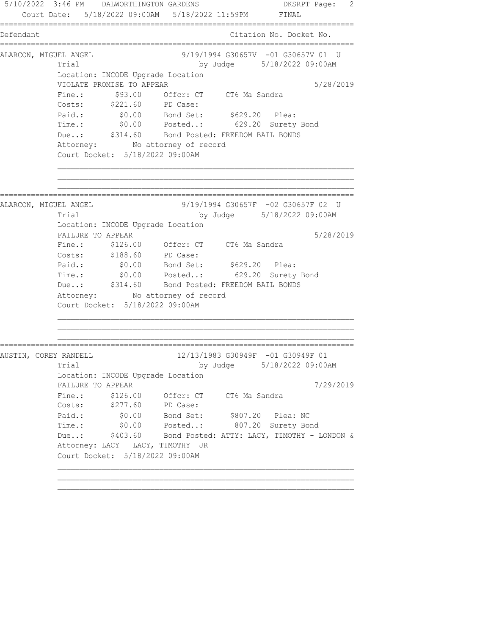5/10/2022 3:46 PM DALWORTHINGTON GARDENS DKSRPT Page: 2 Court Date: 5/18/2022 09:00AM 5/18/2022 11:59PM FINAL ================================================================================ Defendant Citation No. Docket No. ================================================================================ ALARCON, MIGUEL ANGEL (9/19/1994 G30657V -01 G30657V 01 U Trial by Judge 5/18/2022 09:00AM Location: INCODE Upgrade Location VIOLATE PROMISE TO APPEAR 5/28/2019 Fine.:  $$93.00$  Offcr: CT CT6 Ma Sandra Costs: \$221.60 PD Case: Paid.: \$0.00 Bond Set: \$629.20 Plea: Time.: \$0.00 Posted..: 629.20 Surety Bond Due..: \$314.60 Bond Posted: FREEDOM BAIL BONDS Attorney: No attorney of record Court Docket: 5/18/2022 09:00AM ================================================================================ ALARCON, MIGUEL ANGEL 9/19/1994 G30657F -02 G30657F 02 U Trial by Judge 5/18/2022 09:00AM Location: INCODE Upgrade Location FAILURE TO APPEAR 5/28/2019 Fine.: \$126.00 Offcr: CT CT6 Ma Sandra Costs: \$188.60 PD Case: Paid.: \$0.00 Bond Set: \$629.20 Plea: Time.: \$0.00 Posted..: 629.20 Surety Bond Due..:  $$314.60$  Bond Posted: FREEDOM BAIL BONDS Attorney: No attorney of record Court Docket: 5/18/2022 09:00AM ================================================================================ AUSTIN, COREY RANDELL 12/13/1983 G30949F -01 G30949F 01 Trial by Judge 5/18/2022 09:00AM Location: INCODE Upgrade Location FAILURE TO APPEAR  $7/29/2019$ Fine.: \$126.00 Offcr: CT CT6 Ma Sandra Costs: \$277.60 PD Case: Paid.: \$0.00 Bond Set: \$807.20 Plea: NC Time.: \$0.00 Posted..: 807.20 Surety Bond Due..: \$403.60 Bond Posted: ATTY: LACY, TIMOTHY - LONDON & Attorney: LACY LACY, TIMOTHY JR Court Docket: 5/18/2022 09:00AM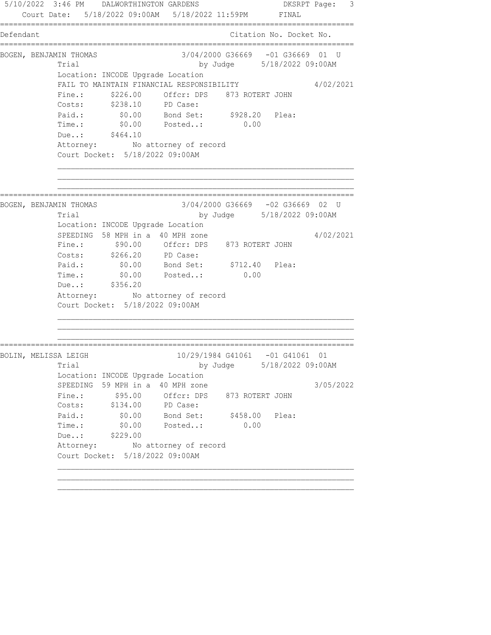5/10/2022 3:46 PM DALWORTHINGTON GARDENS DKSRPT Page: 3 Court Date: 5/18/2022 09:00AM 5/18/2022 11:59PM FINAL ================================================================================ Defendant Citation No. Docket No. ================================================================================ BOGEN, BENJAMIN THOMAS 68 000 3/04/2000 636669 -01 636669 01 U Trial by Judge 5/18/2022 09:00AM Location: INCODE Upgrade Location FAIL TO MAINTAIN FINANCIAL RESPONSIBILITY 4/02/2021 Fine.:  $$226.00$  Offcr: DPS 873 ROTERT JOHN Costs: \$238.10 PD Case: Paid.: \$0.00 Bond Set: \$928.20 Plea: Time.: \$0.00 Posted..: 0.00 Due..: \$464.10 Attorney: No attorney of record Court Docket: 5/18/2022 09:00AM ================================================================================ BOGEN, BENJAMIN THOMAS 3/04/2000 G36669 -02 G36669 02 U Trial by Judge 5/18/2022 09:00AM Location: INCODE Upgrade Location SPEEDING 58 MPH in a 40 MPH zone  $4/02/2021$  Fine.: \$90.00 Offcr: DPS 873 ROTERT JOHN Costs: \$266.20 PD Case: Paid.: \$0.00 Bond Set: \$712.40 Plea: Time.:  $$0.00$  Posted..: 0.00 Due..: \$356.20 Attorney: No attorney of record Court Docket: 5/18/2022 09:00AM ================================================================================ BOLIN, MELISSA LEIGH 10/29/1984 G41061 -01 G41061 01 Trial by Judge 5/18/2022 09:00AM Location: INCODE Upgrade Location SPEEDING 59 MPH in a 40 MPH zone 3/05/2022 Fine.:  $$95.00$  Offcr: DPS 873 ROTERT JOHN Costs: \$134.00 PD Case: Paid.: \$0.00 Bond Set: \$458.00 Plea: Time.: \$0.00 Posted..: 0.00 Due..: \$229.00 Attorney: No attorney of record Court Docket: 5/18/2022 09:00AM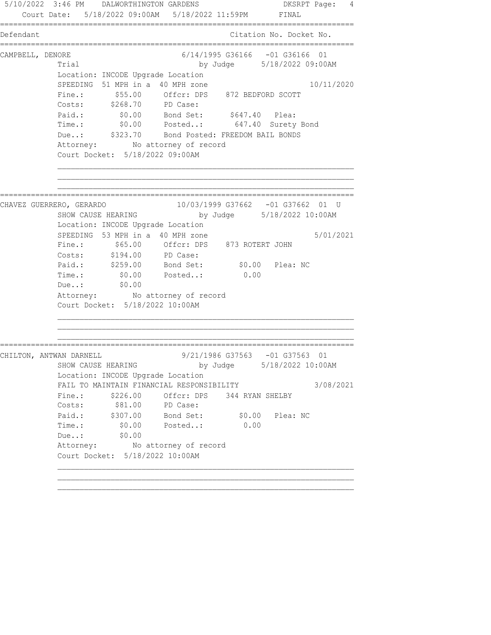5/10/2022 3:46 PM DALWORTHINGTON GARDENS DKSRPT Page: 4 Court Date: 5/18/2022 09:00AM 5/18/2022 11:59PM FINAL ================================================================================ Defendant Citation No. Docket No. ================================================================================ CAMPBELL, DENORE 6/14/1995 G36166 -01 G36166 01 Trial by Judge 5/18/2022 09:00AM Location: INCODE Upgrade Location SPEEDING 51 MPH in a 40 MPH zone 10/11/2020 Fine.: \$55.00 Offcr: DPS 872 BEDFORD SCOTT Costs: \$268.70 PD Case: Paid.:  $$0.00$  Bond Set:  $$647.40$  Plea: Time.: \$0.00 Posted..: 647.40 Surety Bond Due..: \$323.70 Bond Posted: FREEDOM BAIL BONDS Attorney: No attorney of record Court Docket: 5/18/2022 09:00AM ================================================================================ CHAVEZ GUERRERO, GERARDO 10/03/1999 G37662 -01 G37662 01 U<br>SHOW CAUSE HEARING by Judge 5/18/2022 10:00AM by Judge 5/18/2022 10:00AM Location: INCODE Upgrade Location SPEEDING 53 MPH in a 40 MPH zone  $5/01/2021$  Fine.: \$65.00 Offcr: DPS 873 ROTERT JOHN Costs: \$194.00 PD Case: Paid.: \$259.00 Bond Set: \$0.00 Plea: NC Time.: \$0.00 Posted..: \$0.00<br>Due..: \$0.00 Posted..: 0.00 Due..: \$0.00 Attorney: No attorney of record Court Docket: 5/18/2022 10:00AM ================================================================================ CHILTON, ANTWAN DARNELL 3/21/1986 G37563 -01 G37563 01 by Judge 5/18/2022 10:00AM Location: INCODE Upgrade Location FAIL TO MAINTAIN FINANCIAL RESPONSIBILITY 3/08/2021 Fine.: \$226.00 Offcr: DPS 344 RYAN SHELBY Costs:  $$81.00$  PD Case: Paid.: \$307.00 Bond Set: \$0.00 Plea: NC Time.: \$0.00 Posted..: 0.00 Due..: \$0.00 Due..: \$0.00<br>Attorney: No attorney of record Court Docket: 5/18/2022 10:00AM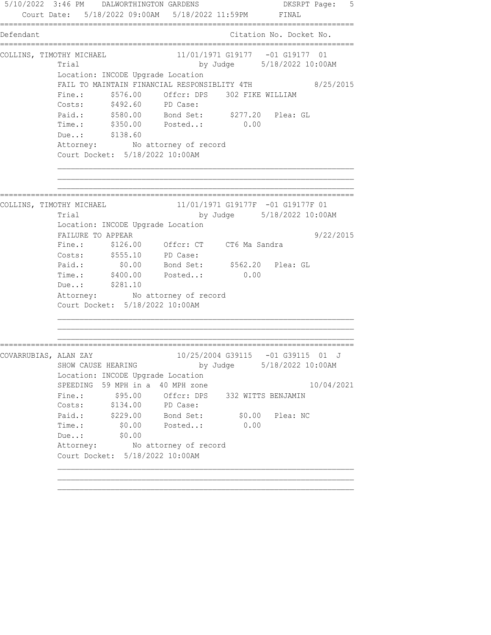5/10/2022 3:46 PM DALWORTHINGTON GARDENS DESRPT Page: 5 Court Date: 5/18/2022 09:00AM 5/18/2022 11:59PM FINAL ================================================================================ Defendant Citation No. Docket No. ================================================================================ COLLINS, TIMOTHY MICHAEL 11/01/1971 G19177 -01 G19177 01 Trial by Judge 5/18/2022 10:00AM Location: INCODE Upgrade Location FAIL TO MAINTAIN FINANCIAL RESPONSIBLITY 4TH 8/25/2015 Fine.:  $$576.00$  Offcr: DPS 302 FIKE WILLIAM Costs: \$492.60 PD Case: Paid.: \$580.00 Bond Set: \$277.20 Plea: GL Time.: \$350.00 Posted..: 0.00 Due..: \$138.60 Attorney: No attorney of record Court Docket: 5/18/2022 10:00AM ================================================================================ COLLINS, TIMOTHY MICHAEL 11/01/1971 G19177F -01 G19177F 01 Trial by Judge 5/18/2022 10:00AM Location: INCODE Upgrade Location FAILURE TO APPEAR 9/22/2015 Fine.: \$126.00 Offcr: CT CT6 Ma Sandra Costs: \$555.10 PD Case: Paid.: \$0.00 Bond Set: \$562.20 Plea: GL Paid.:  $\frac{$0.00}{$70.00}$  Bond Set:  $\frac{$562.20}{$70.00}$  Posted..: 0.00 Due..: \$281.10 Attorney: No attorney of record Court Docket: 5/18/2022 10:00AM ================================================================================ COVARRUBIAS, ALAN ZAY 10/25/2004 G39115 -01 G39115 01 J SHOW CAUSE HEARING by Judge 5/18/2022 10:00AM Location: INCODE Upgrade Location SPEEDING 59 MPH in a 40 MPH zone 10/04/2021 Fine.: \$95.00 Offcr: DPS 332 WITTS BENJAMIN Costs: \$134.00 PD Case: Paid.: \$229.00 Bond Set: \$0.00 Plea: NC Time.: \$0.00 Posted..: 0.00 Due..: \$0.00 Due..: \$0.00<br>Attorney: No attorney of record Court Docket: 5/18/2022 10:00AM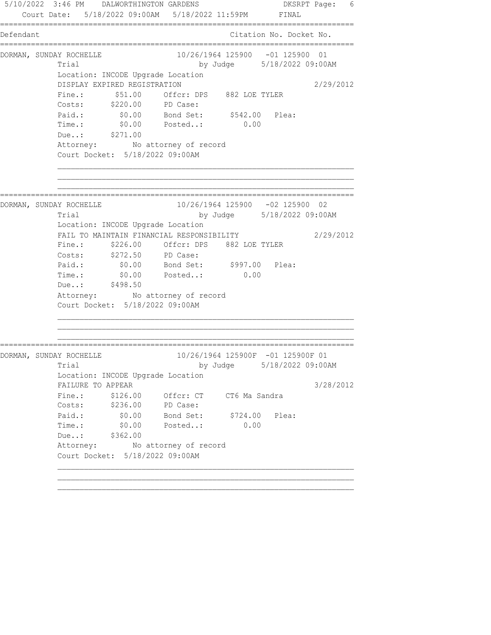5/10/2022 3:46 PM DALWORTHINGTON GARDENS DKSRPT Page: 6 Court Date: 5/18/2022 09:00AM 5/18/2022 11:59PM FINAL ================================================================================ Defendant Citation No. Docket No. ================================================================================ DORMAN, SUNDAY ROCHELLE 10/26/1964 125900 -01 125900 01 Trial by Judge 5/18/2022 09:00AM Location: INCODE Upgrade Location DISPLAY EXPIRED REGISTRATION 2/29/2012 Fine.:  $$51.00$  Offcr: DPS 882 LOE TYLER Costs: \$220.00 PD Case: Paid.: \$0.00 Bond Set: \$542.00 Plea: Time.: \$0.00 Posted..: 0.00 Due..: \$271.00 Attorney: No attorney of record Court Docket: 5/18/2022 09:00AM ================================================================================ DORMAN, SUNDAY ROCHELLE 10/26/1964 125900 -02 125900 02 Trial by Judge 5/18/2022 09:00AM Location: INCODE Upgrade Location FAIL TO MAINTAIN FINANCIAL RESPONSIBILITY 2/29/2012 Fine.: \$226.00 Offcr: DPS 882 LOE TYLER Costs: \$272.50 PD Case: Paid.: \$0.00 Bond Set: \$997.00 Plea: Paid.:  $$0.00$  Bond Set:  $$997.00$  Plea:<br>Time.:  $$0.00$  Posted..: 0.00 Due..: \$498.50 Attorney: No attorney of record Court Docket: 5/18/2022 09:00AM ================================================================================ DORMAN, SUNDAY ROCHELLE 10/26/1964 125900F -01 125900F 01 Trial by Judge 5/18/2022 09:00AM Location: INCODE Upgrade Location FAILURE TO APPEAR 3/28/2012 Fine.: \$126.00 Offcr: CT CT6 Ma Sandra Costs: \$236.00 PD Case: Paid.: \$0.00 Bond Set: \$724.00 Plea: Time.: \$0.00 Posted..: 0.00 Due..: \$362.00 Attorney: No attorney of record Court Docket: 5/18/2022 09:00AM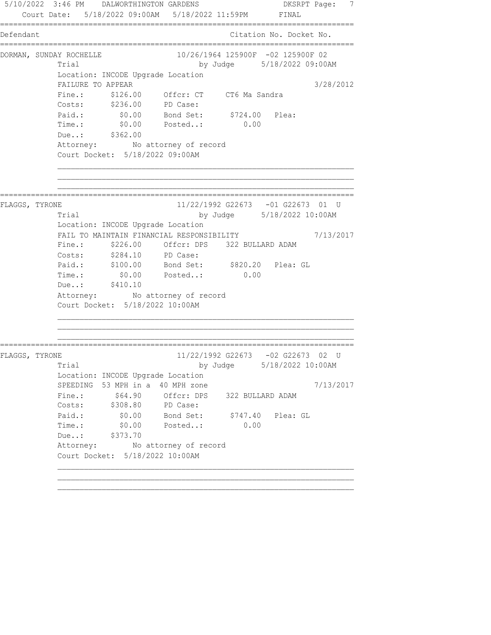5/10/2022 3:46 PM DALWORTHINGTON GARDENS DKSRPT Page: 7 Court Date: 5/18/2022 09:00AM 5/18/2022 11:59PM FINAL ================================================================================ Defendant Citation No. Docket No. ================================================================================ DORMAN, SUNDAY ROCHELLE 10/26/1964 125900F -02 125900F 02 Trial by Judge 5/18/2022 09:00AM Location: INCODE Upgrade Location FAILURE TO APPEAR  $3/28/2012$ Fine.: \$126.00 Offcr: CT CT6 Ma Sandra Costs: \$236.00 PD Case: Paid.: \$0.00 Bond Set: \$724.00 Plea: Time.: \$0.00 Posted..: 0.00 Due..: \$362.00 Attorney: No attorney of record Court Docket: 5/18/2022 09:00AM ================================================================================ FLAGGS, TYRONE 11/22/1992 G22673 -01 G22673 01 U Trial by Judge 5/18/2022 10:00AM Location: INCODE Upgrade Location FAIL TO MAINTAIN FINANCIAL RESPONSIBILITY 7/13/2017 Fine.: \$226.00 Offcr: DPS 322 BULLARD ADAM Costs: \$284.10 PD Case: Paid.: \$100.00 Bond Set: \$820.20 Plea: GL Time.:  $$0.00$  Posted..: 0.00 Due..: \$410.10 Attorney: No attorney of record Court Docket: 5/18/2022 10:00AM ================================================================================ FLAGGS, TYRONE 11/22/1992 G22673 -02 G22673 02 U Trial by Judge 5/18/2022 10:00AM Location: INCODE Upgrade Location SPEEDING 53 MPH in a 40 MPH zone  $7/13/2017$ Fine.:  $$64.90$  Offcr: DPS 322 BULLARD ADAM Costs: \$308.80 PD Case: Paid.: \$0.00 Bond Set: \$747.40 Plea: GL Time.: \$0.00 Posted..: 0.00 Due..: \$373.70 Attorney: No attorney of record Court Docket: 5/18/2022 10:00AM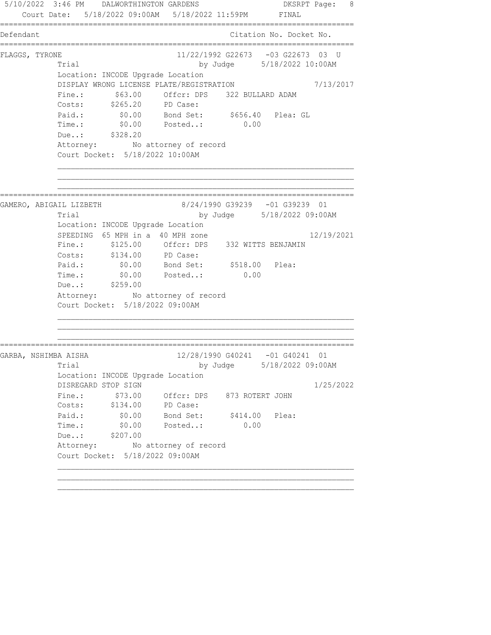5/10/2022 3:46 PM DALWORTHINGTON GARDENS DKSRPT Page: 8 Court Date: 5/18/2022 09:00AM 5/18/2022 11:59PM FINAL ================================================================================ Defendant Citation No. Docket No. ================================================================================ FLAGGS, TYRONE 11/22/1992 G22673 -03 G22673 03 U Trial by Judge 5/18/2022 10:00AM Location: INCODE Upgrade Location DISPLAY WRONG LICENSE PLATE/REGISTRATION 7/13/2017 Fine.:  $$63.00$  Offcr: DPS 322 BULLARD ADAM Costs: \$265.20 PD Case: Paid.: \$0.00 Bond Set: \$656.40 Plea: GL Time.: \$0.00 Posted..: 0.00 Due..: \$328.20 Attorney: No attorney of record Court Docket: 5/18/2022 10:00AM ================================================================================ GAMERO, ABIGAIL LIZBETH 8/24/1990 G39239 -01 G39239 01 Trial by Judge 5/18/2022 09:00AM Location: INCODE Upgrade Location SPEEDING  $65$  MPH in a 40 MPH zone  $12/19/2021$  Fine.: \$125.00 Offcr: DPS 332 WITTS BENJAMIN Costs: \$134.00 PD Case: Paid.: \$0.00 Bond Set: \$518.00 Plea: Time.:  $$0.00$  Posted..: 0.00 Due..: \$259.00 Attorney: No attorney of record Court Docket: 5/18/2022 09:00AM ================================================================================ GARBA, NSHIMBA AISHA 12/28/1990 G40241 -01 G40241 01 Trial by Judge 5/18/2022 09:00AM Location: INCODE Upgrade Location DISREGARD STOP SIGN 1/25/2022 Fine.: \$73.00 Offcr: DPS 873 ROTERT JOHN Costs: \$134.00 PD Case: Paid.:  $$0.00$  Bond Set:  $$414.00$  Plea: Time.: \$0.00 Posted..: 0.00 Due..: \$207.00 Attorney: No attorney of record Court Docket: 5/18/2022 09:00AM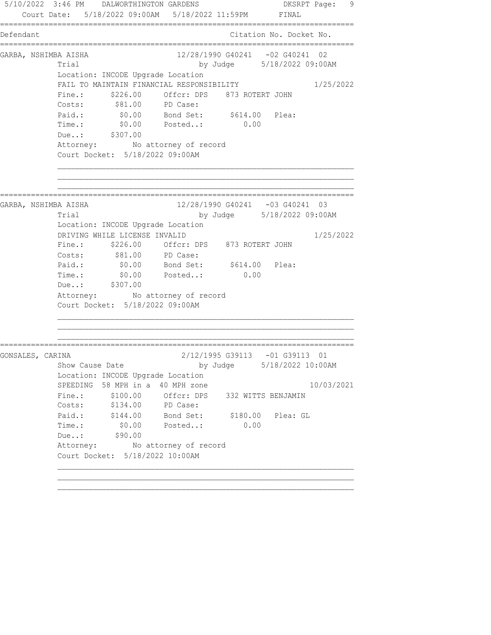5/10/2022 3:46 PM DALWORTHINGTON GARDENS DKSRPT Page: 9 Court Date: 5/18/2022 09:00AM 5/18/2022 11:59PM FINAL ================================================================================ Defendant Citation No. Docket No. ================================================================================ GARBA, NSHIMBA AISHA 12/28/1990 G40241 -02 G40241 02 Trial by Judge 5/18/2022 09:00AM Location: INCODE Upgrade Location FAIL TO MAINTAIN FINANCIAL RESPONSIBILITY 1/25/2022 Fine.:  $$226.00$  Offcr: DPS 873 ROTERT JOHN Costs: \$81.00 PD Case: Paid.:  $$0.00$  Bond Set:  $$614.00$  Plea: Time.: \$0.00 Posted..: 0.00 Due..: \$307.00 Attorney: No attorney of record Court Docket: 5/18/2022 09:00AM ================================================================================ GARBA, NSHIMBA AISHA 12/28/1990 G40241 -03 G40241 03 Trial by Judge 5/18/2022 09:00AM Location: INCODE Upgrade Location DRIVING WHILE LICENSE INVALID 1/25/2022 Fine.: \$226.00 Offcr: DPS 873 ROTERT JOHN Costs:  $$81.00$  PD Case: Paid.:  $$0.00$  Bond Set:  $$614.00$  Plea: Paid.: \$0.00 Bond Set: \$614.00 Plea:<br>Time.: \$0.00 Posted..: 0.00 Due..: \$307.00 Attorney: No attorney of record Court Docket: 5/18/2022 09:00AM ================================================================================ GONSALES, CARINA<br>
Show Cause Date by Judge 5/18/2022 10:00 by Judge 5/18/2022 10:00AM Location: INCODE Upgrade Location SPEEDING 58 MPH in a 40 MPH zone 10/03/2021 Fine.: \$100.00 Offcr: DPS 332 WITTS BENJAMIN Costs: \$134.00 PD Case: Paid.: \$144.00 Bond Set: \$180.00 Plea: GL Time.: \$0.00 Posted..: 0.00 TIME.: \$90.00<br>Due..: \$90.00 Attorney: No attorney of record Court Docket: 5/18/2022 10:00AM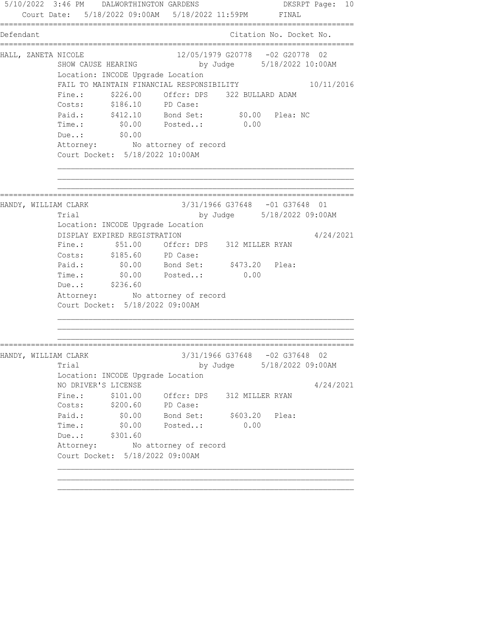5/10/2022 3:46 PM DALWORTHINGTON GARDENS DKSRPT Page: 10 Court Date: 5/18/2022 09:00AM 5/18/2022 11:59PM FINAL ================================================================================ Defendant Citation No. Docket No. ================================================================================ HALL, ZANETA NICOLE 12/05/1979 G20778 -02 G20778 02 SHOW CAUSE HEARING by Judge 5/18/2022 10:00AM Location: INCODE Upgrade Location FAIL TO MAINTAIN FINANCIAL RESPONSIBILITY 10/11/2016 Fine.:  $$226.00$  Offcr: DPS 322 BULLARD ADAM Costs: \$186.10 PD Case: Paid.: \$412.10 Bond Set: \$0.00 Plea: NC Time.: \$0.00 Posted..: 0.00 Due..: \$0.00 Attorney: No attorney of record Court Docket: 5/18/2022 10:00AM ================================================================================ HANDY, WILLIAM CLARK 3/31/1966 G37648 -01 G37648 01 Trial by Judge 5/18/2022 09:00AM Location: INCODE Upgrade Location DISPLAY EXPIRED REGISTRATION 4/24/2021 Fine.: \$51.00 Offcr: DPS 312 MILLER RYAN Costs: \$185.60 PD Case: Paid.:  $$0.00$  Bond Set:  $$473.20$  Plea: Time.:  $\frac{60.00}{2000}$  Posted..:  $\frac{60.00}{2000}$ Due..: \$236.60 Attorney: No attorney of record Court Docket: 5/18/2022 09:00AM ================================================================================ HANDY, WILLIAM CLARK 3/31/1966 G37648 -02 G37648 02 Trial by Judge 5/18/2022 09:00AM Location: INCODE Upgrade Location NO DRIVER'S LICENSE 4/24/2021 Fine.:  $$101.00$  Offcr: DPS 312 MILLER RYAN Costs: \$200.60 PD Case: Paid.: \$0.00 Bond Set: \$603.20 Plea: Time.: \$0.00 Posted..: 0.00 Due..: \$301.60 Attorney: No attorney of record Court Docket: 5/18/2022 09:00AM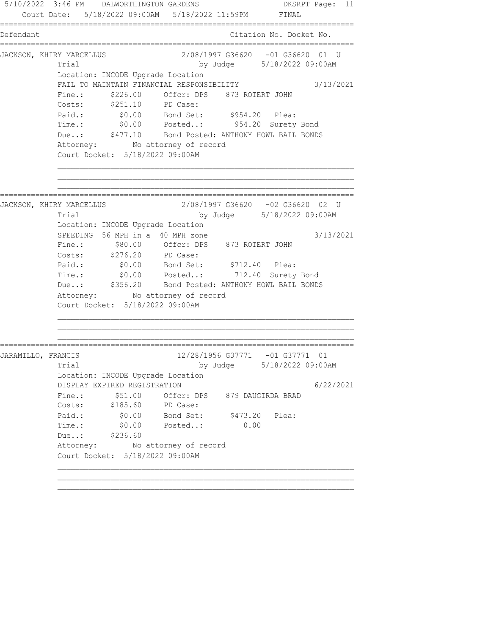5/10/2022 3:46 PM DALWORTHINGTON GARDENS DKSRPT Page: 11 Court Date: 5/18/2022 09:00AM 5/18/2022 11:59PM FINAL ================================================================================ Defendant Citation No. Docket No. ================================================================================ JACKSON, KHIRY MARCELLUS 2/08/1997 G36620 -01 G36620 01 U Trial by Judge 5/18/2022 09:00AM Location: INCODE Upgrade Location FAIL TO MAINTAIN FINANCIAL RESPONSIBILITY 3/13/2021 Fine.:  $$226.00$  Offcr: DPS 873 ROTERT JOHN Costs: \$251.10 PD Case: Paid.:  $$0.00$  Bond Set:  $$954.20$  Plea: Time.: \$0.00 Posted..: 954.20 Surety Bond Due..: \$477.10 Bond Posted: ANTHONY HOWL BAIL BONDS Attorney: No attorney of record Court Docket: 5/18/2022 09:00AM ================================================================================ JACKSON, KHIRY MARCELLUS 2/08/1997 G36620 -02 G36620 02 U Trial by Judge 5/18/2022 09:00AM Location: INCODE Upgrade Location SPEEDING 56 MPH in a 40 MPH zone  $3/13/2021$  Fine.: \$80.00 Offcr: DPS 873 ROTERT JOHN Costs: \$276.20 PD Case: Paid.: \$0.00 Bond Set: \$712.40 Plea: Time.: \$0.00 Posted..: 712.40 Surety Bond Due..: \$356.20 Bond Posted: ANTHONY HOWL BAIL BONDS Attorney: No attorney of record Court Docket: 5/18/2022 09:00AM ================================================================================ JARAMILLO, FRANCIS (12/28/1956 G37771 -01 G37771 01 Trial by Judge 5/18/2022 09:00AM Location: INCODE Upgrade Location DISPLAY EXPIRED REGISTRATION 6/22/2021 Fine.:  $$51.00$  Offcr: DPS 879 DAUGIRDA BRAD Costs: \$185.60 PD Case: Paid.:  $$0.00$  Bond Set:  $$473.20$  Plea: Time.: \$0.00 Posted..: 0.00 Due..: \$236.60 Attorney: No attorney of record Court Docket: 5/18/2022 09:00AM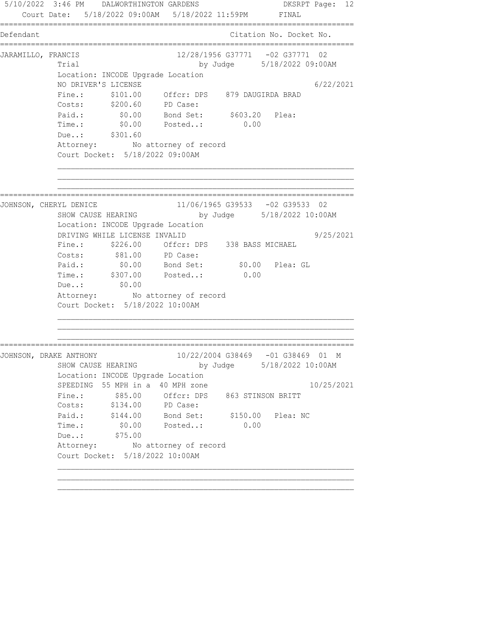5/10/2022 3:46 PM DALWORTHINGTON GARDENS DKSRPT Page: 12 Court Date: 5/18/2022 09:00AM 5/18/2022 11:59PM FINAL ================================================================================ Defendant Citation No. Docket No. ================================================================================ JARAMILLO, FRANCIS 12/28/1956 G37771 -02 G37771 02 Trial by Judge 5/18/2022 09:00AM Location: INCODE Upgrade Location NO DRIVER'S LICENSE 6/22/2021 Fine.: \$101.00 Offcr: DPS 879 DAUGIRDA BRAD Costs: \$200.60 PD Case: Paid.: \$0.00 Bond Set: \$603.20 Plea: Time.: \$0.00 Posted..: 0.00 Due..: \$301.60 Attorney: No attorney of record Court Docket: 5/18/2022 09:00AM ================================================================================ JOHNSON, CHERYL DENICE 11/06/1965 G39533 -02 G39533 02<br>SHOW CAUSE HEARING by Judge 5/18/2022 10:00 by Judge 5/18/2022 10:00AM Location: INCODE Upgrade Location DRIVING WHILE LICENSE INVALID 9/25/2021 Fine.: \$226.00 Offcr: DPS 338 BASS MICHAEL Costs:  $$81.00$  PD Case: Paid.: \$0.00 Bond Set: \$0.00 Plea: GL Time.: \$307.00 Posted..: 0.00 Due..: \$0.00 Attorney: No attorney of record Court Docket: 5/18/2022 10:00AM ================================================================================ JOHNSON, DRAKE ANTHONY 10/22/2004 G38469 -01 G38469 01 M SHOW CAUSE HEARING by Judge 5/18/2022 10:00AM Location: INCODE Upgrade Location SPEEDING 55 MPH in a 40 MPH zone 10/25/2021 Fine.:  $$85.00$  Offcr: DPS 863 STINSON BRITT Costs: \$134.00 PD Case: Paid.: \$144.00 Bond Set: \$150.00 Plea: NC Time.: \$0.00 Posted..: 0.00 Due..: \$75.00 Attorney: No attorney of record Court Docket: 5/18/2022 10:00AM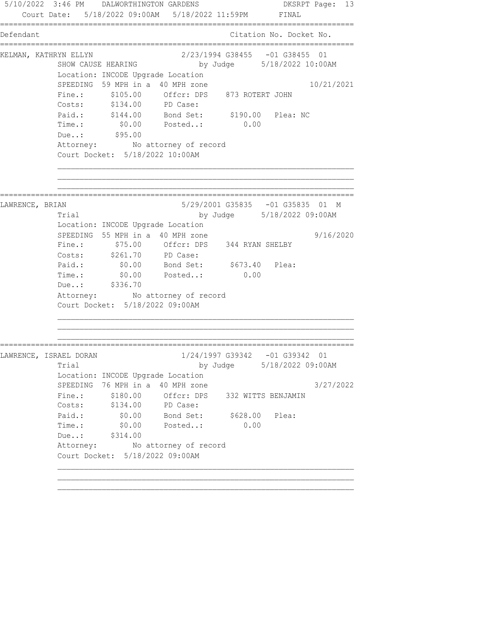5/10/2022 3:46 PM DALWORTHINGTON GARDENS DKSRPT Page: 13 Court Date: 5/18/2022 09:00AM 5/18/2022 11:59PM FINAL ================================================================================ Defendant Citation No. Docket No. ================================================================================ KELMAN, KATHRYN ELLYN 2/23/1994 G38455 -01 G38455 01 SHOW CAUSE HEARING by Judge 5/18/2022 10:00AM Location: INCODE Upgrade Location SPEEDING 59 MPH in a 40 MPH zone 10/21/2021 Fine.: \$105.00 Offcr: DPS 873 ROTERT JOHN Costs: \$134.00 PD Case: Paid.: \$144.00 Bond Set: \$190.00 Plea: NC Time.: \$0.00 Posted..: 0.00 Due..: \$95.00 Attorney: No attorney of record Court Docket: 5/18/2022 10:00AM ================================================================================ LAWRENCE, BRIAN 5/29/2001 G35835 -01 G35835 01 M Trial by Judge 5/18/2022 09:00AM Location: INCODE Upgrade Location SPEEDING 55 MPH in a 40 MPH zone  $9/16/2020$  Fine.: \$75.00 Offcr: DPS 344 RYAN SHELBY Costs: \$261.70 PD Case: Paid.:  $$0.00$  Bond Set:  $$673.40$  Plea: Time.:  $$0.00$  Posted..: 0.00 Due..: \$336.70 Attorney: No attorney of record Court Docket: 5/18/2022 09:00AM ================================================================================ LAWRENCE, ISRAEL DORAN 1/24/1997 G39342 -01 G39342 01 Trial by Judge 5/18/2022 09:00AM Location: INCODE Upgrade Location SPEEDING 76 MPH in a 40 MPH zone 3/27/2022 Fine.: \$180.00 Offcr: DPS 332 WITTS BENJAMIN Costs: \$134.00 PD Case: Paid.: \$0.00 Bond Set: \$628.00 Plea: Time.: \$0.00 Posted..: 0.00 Due..: \$314.00 Attorney: No attorney of record Court Docket: 5/18/2022 09:00AM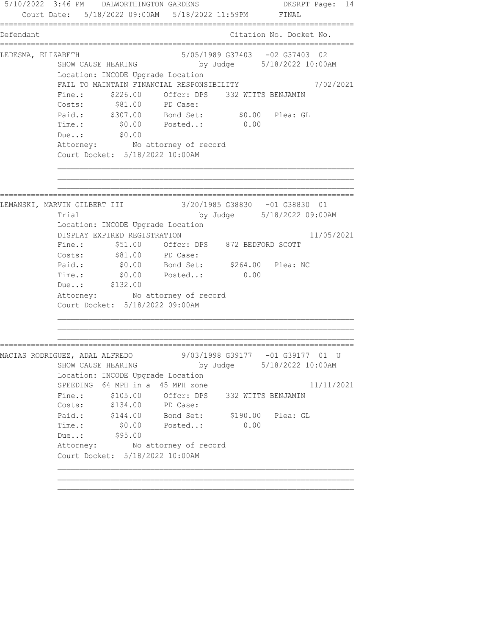5/10/2022 3:46 PM DALWORTHINGTON GARDENS DKSRPT Page: 14 Court Date: 5/18/2022 09:00AM 5/18/2022 11:59PM FINAL ================================================================================ Defendant Citation No. Docket No. ================================================================================ LEDESMA, ELIZABETH 5/05/1989 G37403 -02 G37403 02 SHOW CAUSE HEARING by Judge 5/18/2022 10:00AM Location: INCODE Upgrade Location FAIL TO MAINTAIN FINANCIAL RESPONSIBILITY 7/02/2021 Fine.:  $$226.00$  Offcr: DPS 332 WITTS BENJAMIN Costs:  $$81.00$  PD Case: Paid.: \$307.00 Bond Set: \$0.00 Plea: GL Time.: \$0.00 Posted..: 0.00 Due..: \$0.00 Attorney: No attorney of record Court Docket: 5/18/2022 10:00AM ================================================================================ LEMANSKI, MARVIN GILBERT III Trial by Judge 5/18/2022 09:00AM Location: INCODE Upgrade Location DISPLAY EXPIRED REGISTRATION 11/05/2021 Fine.: \$51.00 Offcr: DPS 872 BEDFORD SCOTT Costs:  $$81.00$  PD Case: Paid.: \$0.00 Bond Set: \$264.00 Plea: NC Paid.: \$0.00 Bond Set: \$264.00<br>Time.: \$0.00 Posted..: 0.00 Due..: \$132.00 Attorney: No attorney of record Court Docket: 5/18/2022 09:00AM ================================================================================ MACIAS RODRIGUEZ, ADAL ALFREDO 9/03/1998 G39177 -01 G39177 01 U SHOW CAUSE HEARING by Judge 5/18/2022 10:00AM Location: INCODE Upgrade Location SPEEDING 64 MPH in a 45 MPH zone 11/11/2021 Fine.: \$105.00 Offcr: DPS 332 WITTS BENJAMIN Costs: \$134.00 PD Case: Paid.: \$144.00 Bond Set: \$190.00 Plea: GL Time.: \$0.00 Posted..: 0.00 TIME.: \$0.00<br>Due..: \$95.00 Attorney: No attorney of record Court Docket: 5/18/2022 10:00AM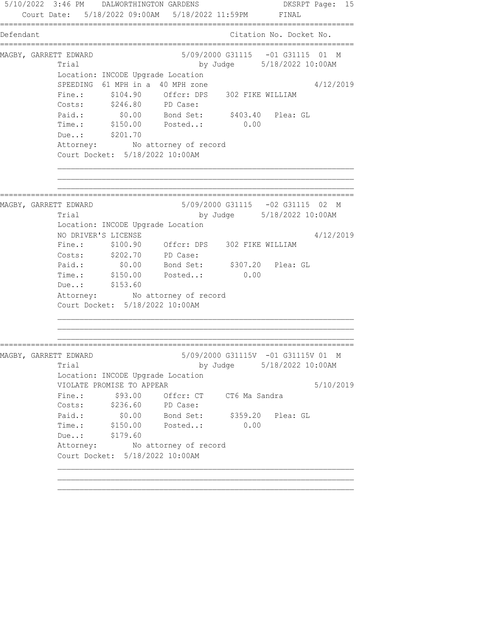5/10/2022 3:46 PM DALWORTHINGTON GARDENS DKSRPT Page: 15 Court Date: 5/18/2022 09:00AM 5/18/2022 11:59PM FINAL ================================================================================ Defendant Citation No. Docket No. ================================================================================ MAGBY, GARRETT EDWARD 6/09/2000 G31115 -01 G31115 01 M Trial by Judge 5/18/2022 10:00AM Location: INCODE Upgrade Location SPEEDING 61 MPH in a 40 MPH zone  $4/12/2019$  Fine.: \$104.90 Offcr: DPS 302 FIKE WILLIAM Costs: \$246.80 PD Case: Paid.: \$0.00 Bond Set: \$403.40 Plea: GL Time.: \$150.00 Posted..: 0.00 Due..: \$201.70 Attorney: No attorney of record Court Docket: 5/18/2022 10:00AM ================================================================================ MAGBY, GARRETT EDWARD 5/09/2000 G31115 -02 G31115 02 M Trial by Judge 5/18/2022 10:00AM Location: INCODE Upgrade Location NO DRIVER'S LICENSE 4/12/2019 Fine.: \$100.90 Offcr: DPS 302 FIKE WILLIAM Costs: \$202.70 PD Case: Paid.: \$0.00 Bond Set: \$307.20 Plea: GL Paid.: \$0.00 Bond Set: \$307.20 Plea: GL<br>Time.: \$150.00 Posted..: 0.00 Due..: \$153.60 Attorney: No attorney of record Court Docket: 5/18/2022 10:00AM ================================================================================ MAGBY, GARRETT EDWARD 5/09/2000 G31115V -01 G31115V 01 M Trial by Judge 5/18/2022 10:00AM Location: INCODE Upgrade Location VIOLATE PROMISE TO APPEAR 5/10/2019 Fine.:  $$93.00$  Offcr: CT CT6 Ma Sandra Costs: \$236.60 PD Case: Paid.: \$0.00 Bond Set: \$359.20 Plea: GL Time.: \$150.00 Posted..: 0.00 Due..: \$179.60 Attorney: No attorney of record Court Docket: 5/18/2022 10:00AM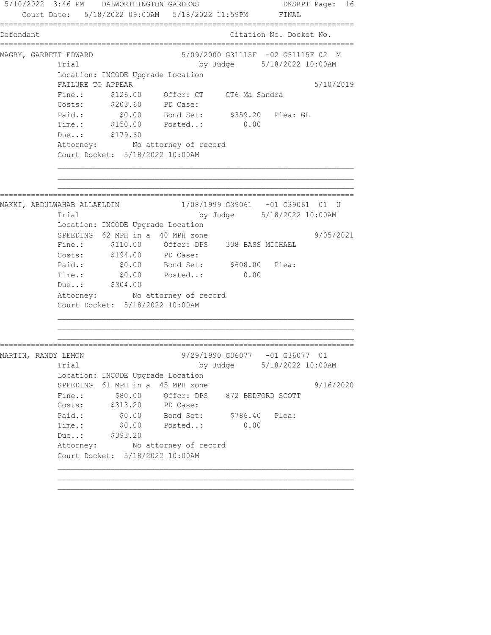5/10/2022 3:46 PM DALWORTHINGTON GARDENS DKSRPT Page: 16 Court Date: 5/18/2022 09:00AM 5/18/2022 11:59PM FINAL ================================================================================ Defendant Citation No. Docket No. ================================================================================ MAGBY, GARRETT EDWARD 6/09/2000 G31115F -02 G31115F 02 M Trial by Judge 5/18/2022 10:00AM Location: INCODE Upgrade Location FAILURE TO APPEAR 5/10/2019 Fine.: \$126.00 Offcr: CT CT6 Ma Sandra Costs: \$203.60 PD Case: Paid.: \$0.00 Bond Set: \$359.20 Plea: GL Time.: \$150.00 Posted..: 0.00 Due..: \$179.60 Attorney: No attorney of record Court Docket: 5/18/2022 10:00AM ================================================================================ MAKKI, ABDULWAHAB ALLAELDIN 1/08/1999 G39061 -01 G39061 01 U Trial by Judge 5/18/2022 10:00AM Location: INCODE Upgrade Location SPEEDING  $62$  MPH in a 40 MPH zone  $9/05/2021$  Fine.: \$110.00 Offcr: DPS 338 BASS MICHAEL Costs: \$194.00 PD Case: Paid.: \$0.00 Bond Set: \$608.00 Plea: Time.:  $$0.00$  Posted..: 0.00 Due..: \$304.00 Attorney: No attorney of record Court Docket: 5/18/2022 10:00AM ================================================================================ MARTIN, RANDY LEMON 9/29/1990 G36077 -01 G36077 01 Trial by Judge 5/18/2022 10:00AM Location: INCODE Upgrade Location SPEEDING  $61$  MPH in a 45 MPH zone  $9/16/2020$ Fine.:  $$80.00$  Offcr: DPS 872 BEDFORD SCOTT Costs: \$313.20 PD Case: Paid.: \$0.00 Bond Set: \$786.40 Plea: Time.: \$0.00 Posted..: 0.00 Due..: \$393.20 Attorney: No attorney of record Court Docket: 5/18/2022 10:00AM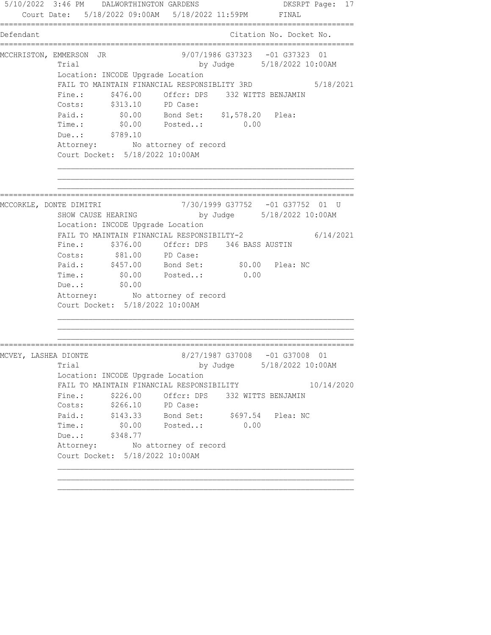5/10/2022 3:46 PM DALWORTHINGTON GARDENS DKSRPT Page: 17 Court Date: 5/18/2022 09:00AM 5/18/2022 11:59PM FINAL ================================================================================ Defendant Citation No. Docket No. ================================================================================ MCCHRISTON, EMMERSON JR 9/07/1986 G37323 -01 G37323 01 Trial by Judge 5/18/2022 10:00AM Location: INCODE Upgrade Location FAIL TO MAINTAIN FINANCIAL RESPONSIBLITY 3RD 5/18/2021 Fine.:  $$476.00$  Offcr: DPS 332 WITTS BENJAMIN Costs: \$313.10 PD Case: Paid.: \$0.00 Bond Set: \$1,578.20 Plea: Time.: \$0.00 Posted..: 0.00 Due..: \$789.10 Attorney: No attorney of record Court Docket: 5/18/2022 10:00AM ================================================================================ MCCORKLE, DONTE DIMITRI 7/30/1999 G37752 -01 G37752 01 U by Judge 5/18/2022 10:00AM Location: INCODE Upgrade Location FAIL TO MAINTAIN FINANCIAL RESPONSIBILTY-2 6/14/2021 Fine.: \$376.00 Offcr: DPS 346 BASS AUSTIN Costs:  $$81.00$  PD Case: Paid.: \$457.00 Bond Set: \$0.00 Plea: NC Time.:  $$0.00$  Posted..: 0.00 Due..: \$0.00 Due..:  $$0.00$ <br>Attorney: No attorney of record Court Docket: 5/18/2022 10:00AM ================================================================================ MCVEY, LASHEA DIONTE 8/27/1987 G37008 -01 G37008 01 Trial by Judge 5/18/2022 10:00AM Location: INCODE Upgrade Location FAIL TO MAINTAIN FINANCIAL RESPONSIBILITY 10/14/2020 Fine.:  $$226.00$  Offcr: DPS 332 WITTS BENJAMIN Costs: \$266.10 PD Case: Paid.: \$143.33 Bond Set: \$697.54 Plea: NC Time.: \$0.00 Posted..: 0.00 Due..: \$348.77 Attorney: No attorney of record Court Docket: 5/18/2022 10:00AM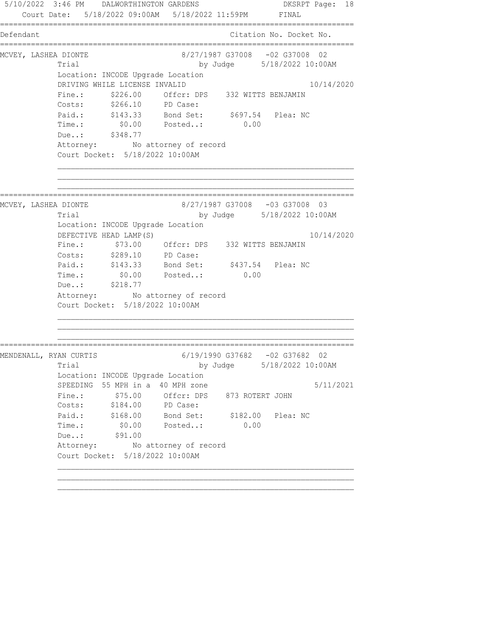5/10/2022 3:46 PM DALWORTHINGTON GARDENS DKSRPT Page: 18 Court Date: 5/18/2022 09:00AM 5/18/2022 11:59PM FINAL ================================================================================ Defendant Citation No. Docket No. ================================================================================ MCVEY, LASHEA DIONTE 6/27/1987 G37008 -02 G37008 02 Trial by Judge 5/18/2022 10:00AM Location: INCODE Upgrade Location DRIVING WHILE LICENSE INVALID 10/14/2020 Fine.: \$226.00 Offcr: DPS 332 WITTS BENJAMIN Costs: \$266.10 PD Case: Paid.: \$143.33 Bond Set: \$697.54 Plea: NC Time.: \$0.00 Posted..: 0.00 Due..: \$348.77 Attorney: No attorney of record Court Docket: 5/18/2022 10:00AM ================================================================================ MCVEY, LASHEA DIONTE 8/27/1987 G37008 -03 G37008 03 Trial by Judge 5/18/2022 10:00AM Location: INCODE Upgrade Location DEFECTIVE HEAD LAMP(S) 10/14/2020 Fine.: \$73.00 Offcr: DPS 332 WITTS BENJAMIN Costs: \$289.10 PD Case: Paid.: \$143.33 Bond Set: \$437.54 Plea: NC Paid.: \$143.33 Bond Set: \$437.54<br>Time.: \$0.00 Posted..: 0.00 Due..: \$218.77 Attorney: No attorney of record Court Docket: 5/18/2022 10:00AM ================================================================================ MENDENALL, RYAN CURTIS 6/19/1990 G37682 -02 G37682 02 Trial by Judge 5/18/2022 10:00AM Location: INCODE Upgrade Location SPEEDING 55 MPH in a 40 MPH zone  $5/11/2021$ Fine.:  $$75.00$  Offcr: DPS 873 ROTERT JOHN Costs: \$184.00 PD Case: Paid.: \$168.00 Bond Set: \$182.00 Plea: NC Time.: \$0.00 Posted..: 0.00 TIME.: \$0.00<br>Due..: \$91.00 Attorney: No attorney of record Court Docket: 5/18/2022 10:00AM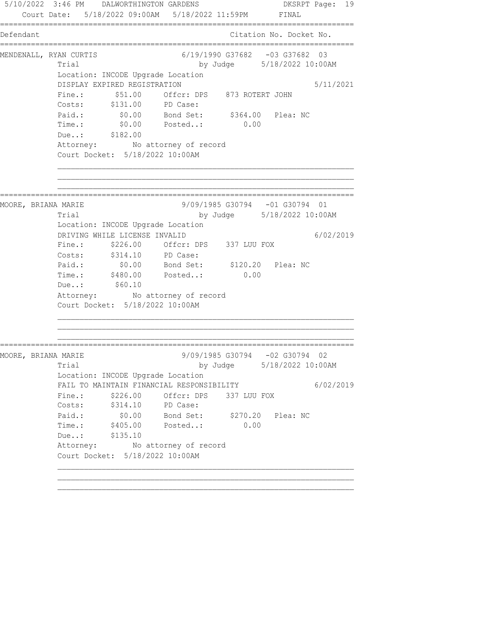5/10/2022 3:46 PM DALWORTHINGTON GARDENS DKSRPT Page: 19 Court Date: 5/18/2022 09:00AM 5/18/2022 11:59PM FINAL ================================================================================ Defendant Citation No. Docket No. ================================================================================ MENDENALL, RYAN CURTIS 6/19/1990 G37682 -03 G37682 03 Trial by Judge 5/18/2022 10:00AM Location: INCODE Upgrade Location DISPLAY EXPIRED REGISTRATION 5/11/2021 Fine.:  $$51.00$  Offcr: DPS 873 ROTERT JOHN Costs: \$131.00 PD Case: Paid.: \$0.00 Bond Set: \$364.00 Plea: NC Time.: \$0.00 Posted..: 0.00 Due..: \$182.00 Attorney: No attorney of record Court Docket: 5/18/2022 10:00AM ================================================================================ MOORE, BRIANA MARIE 9/09/1985 G30794 -01 G30794 01 Trial by Judge 5/18/2022 10:00AM Location: INCODE Upgrade Location DRIVING WHILE LICENSE INVALID 6/02/2019 Fine.: \$226.00 Offcr: DPS 337 LUU FOX Costs: \$314.10 PD Case: Paid.: \$0.00 Bond Set: \$120.20 Plea: NC Time.: \$480.00 Posted..: 0.00 Due..: \$60.10 Attorney: No attorney of record Court Docket: 5/18/2022 10:00AM ================================================================================ MOORE, BRIANA MARIE 9/09/1985 G30794 -02 G30794 02 Trial by Judge 5/18/2022 10:00AM Location: INCODE Upgrade Location FAIL TO MAINTAIN FINANCIAL RESPONSIBILITY 6/02/2019 Fine.: \$226.00 Offcr: DPS 337 LUU FOX Costs: \$314.10 PD Case: Paid.: \$0.00 Bond Set: \$270.20 Plea: NC Time.: \$405.00 Posted..: 0.00 Due..: \$135.10 Attorney: No attorney of record Court Docket: 5/18/2022 10:00AM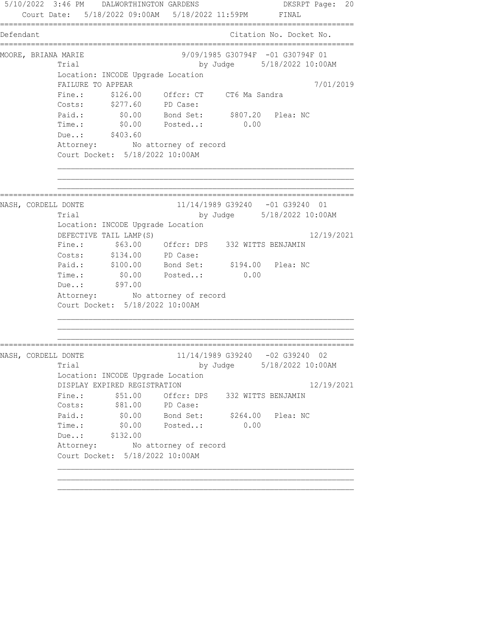5/10/2022 3:46 PM DALWORTHINGTON GARDENS DKSRPT Page: 20 Court Date: 5/18/2022 09:00AM 5/18/2022 11:59PM FINAL ================================================================================ Defendant Citation No. Docket No. ================================================================================ MOORE, BRIANA MARIE 2008 19/09/1985 G30794F -01 G30794F 01 Trial by Judge 5/18/2022 10:00AM Location: INCODE Upgrade Location FAILURE TO APPEAR 7/01/2019 Fine.: \$126.00 Offcr: CT CT6 Ma Sandra Costs: \$277.60 PD Case: Paid.: \$0.00 Bond Set: \$807.20 Plea: NC Time.: \$0.00 Posted..: 0.00 Due..: \$403.60 Attorney: No attorney of record Court Docket: 5/18/2022 10:00AM ================================================================================ NASH, CORDELL DONTE  $11/14/1989$  G39240 -01 G39240 01 Trial by Judge 5/18/2022 10:00AM Location: INCODE Upgrade Location DEFECTIVE TAIL LAMP(S) 12/19/2021 Fine.: \$63.00 Offcr: DPS 332 WITTS BENJAMIN Costs: \$134.00 PD Case: Paid.: \$100.00 Bond Set: \$194.00 Plea: NC Time.:  $$0.00$  Posted..: 0.00 Time.: \$0.00<br>Due..: \$97.00 Attorney: No attorney of record Court Docket: 5/18/2022 10:00AM ================================================================================ NASH, CORDELL DONTE 11/14/1989 G39240 -02 G39240 02 Trial by Judge 5/18/2022 10:00AM Location: INCODE Upgrade Location DISPLAY EXPIRED REGISTRATION 12/19/2021 Fine.:  $$51.00$  Offcr: DPS 332 WITTS BENJAMIN Costs:  $$81.00$  PD Case: Paid.: \$0.00 Bond Set: \$264.00 Plea: NC Time.: \$0.00 Posted..: 0.00 Due..: \$132.00 Attorney: No attorney of record Court Docket: 5/18/2022 10:00AM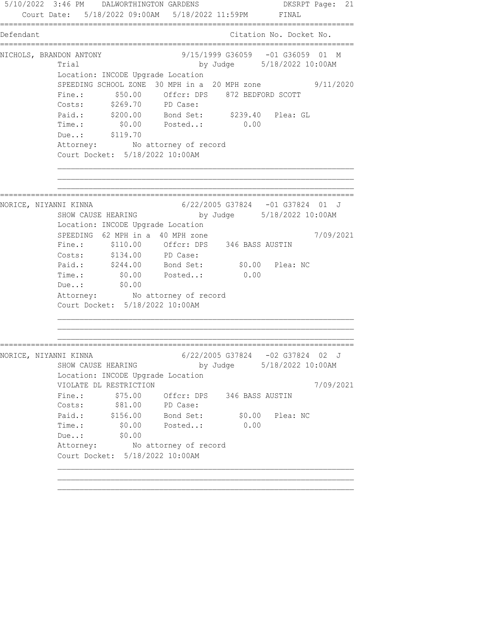5/10/2022 3:46 PM DALWORTHINGTON GARDENS DKSRPT Page: 21 Court Date: 5/18/2022 09:00AM 5/18/2022 11:59PM FINAL ================================================================================ Defendant Citation No. Docket No. ================================================================================ NICHOLS, BRANDON ANTONY 69/15/1999 G36059 -01 G36059 01 M Trial by Judge 5/18/2022 10:00AM Location: INCODE Upgrade Location SPEEDING SCHOOL ZONE 30 MPH in a 20 MPH zone 9/11/2020 Fine.:  $$50.00$  Offcr: DPS 872 BEDFORD SCOTT Costs: \$269.70 PD Case: Paid.: \$200.00 Bond Set: \$239.40 Plea: GL Time.: \$0.00 Posted..: 0.00 Due..: \$119.70 Attorney: No attorney of record Court Docket: 5/18/2022 10:00AM ================================================================================ NORICE, NIYANNI KINNA 6/22/2005 G37824 -01 G37824 01 J by Judge 5/18/2022 10:00AM Location: INCODE Upgrade Location SPEEDING 62 MPH in a 40 MPH zone  $7/09/2021$  Fine.: \$110.00 Offcr: DPS 346 BASS AUSTIN Costs: \$134.00 PD Case: Paid.: \$244.00 Bond Set: \$0.00 Plea: NC Time.:  $$0.00$  Posted..: 0.00 Due..: \$0.00 Due..: \$0.00<br>Attorney: No attorney of record Court Docket: 5/18/2022 10:00AM ================================================================================ NORICE, NIYANNI KINNA 6/22/2005 G37824 -02 G37824 02 J by Judge 5/18/2022 10:00AM Location: INCODE Upgrade Location VIOLATE DL RESTRICTION 7/09/2021 Fine.: \$75.00 Offcr: DPS 346 BASS AUSTIN Costs:  $$81.00$  PD Case: Paid.: \$156.00 Bond Set: \$0.00 Plea: NC Time.: \$0.00 Posted..: 0.00 Due..: \$0.00 Due..: \$0.00<br>Attorney: No attorney of record Court Docket: 5/18/2022 10:00AM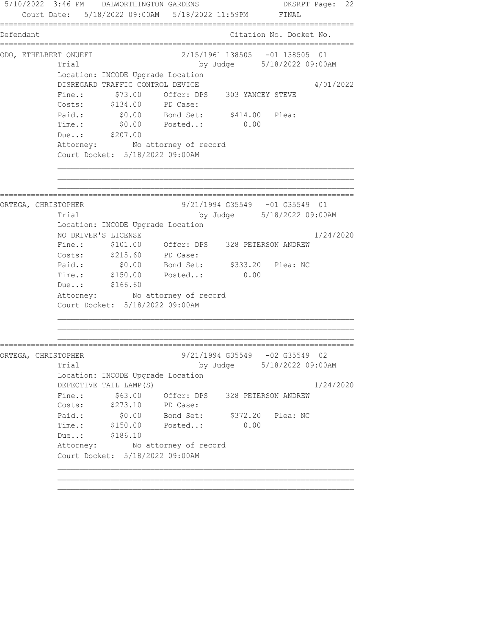5/10/2022 3:46 PM DALWORTHINGTON GARDENS DKSRPT Page: 22 Court Date: 5/18/2022 09:00AM 5/18/2022 11:59PM FINAL ================================================================================ Defendant Citation No. Docket No. ================================================================================ ODO, ETHELBERT ONUEFI 2/15/1961 138505 -01 138505 01 Trial by Judge 5/18/2022 09:00AM Location: INCODE Upgrade Location DISREGARD TRAFFIC CONTROL DEVICE 4/01/2022 Fine.:  $$73.00$  Offcr: DPS 303 YANCEY STEVE Costs: \$134.00 PD Case: Paid.:  $$0.00$  Bond Set:  $$414.00$  Plea: Time.: \$0.00 Posted..: 0.00 Due..: \$207.00 Attorney: No attorney of record Court Docket: 5/18/2022 09:00AM ================================================================================ ORTEGA, CHRISTOPHER 9/21/1994 G35549 -01 G35549 01 Trial by Judge 5/18/2022 09:00AM Location: INCODE Upgrade Location NO DRIVER'S LICENSE 1/24/2020 Fine.: \$101.00 Offcr: DPS 328 PETERSON ANDREW Costs: \$215.60 PD Case: Paid.: \$0.00 Bond Set: \$333.20 Plea: NC Paid.: \$0.00 Bond Set: \$333.20 Plea: NC<br>Time.: \$150.00 Posted..: 0.00 Due..: \$166.60 Attorney: No attorney of record Court Docket: 5/18/2022 09:00AM ================================================================================ ORTEGA, CHRISTOPHER 9/21/1994 G35549 -02 G35549 02 Trial by Judge 5/18/2022 09:00AM Location: INCODE Upgrade Location DEFECTIVE TAIL LAMP(S)  $1/24/2020$ Fine.:  $$63.00$  Offcr: DPS 328 PETERSON ANDREW Costs: \$273.10 PD Case: Paid.: \$0.00 Bond Set: \$372.20 Plea: NC Time.: \$150.00 Posted..: 0.00 Due..: \$186.10 Attorney: No attorney of record Court Docket: 5/18/2022 09:00AM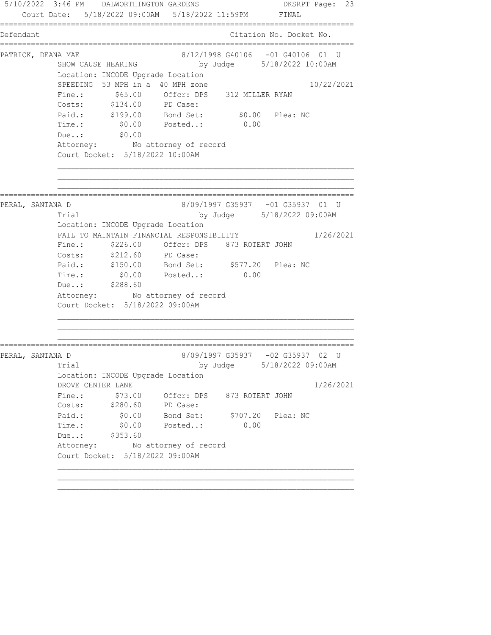5/10/2022 3:46 PM DALWORTHINGTON GARDENS DKSRPT Page: 23 Court Date: 5/18/2022 09:00AM 5/18/2022 11:59PM FINAL ================================================================================ Defendant Citation No. Docket No. ================================================================================ PATRICK, DEANA MAE 8/12/1998 G40106 -01 G40106 01 U SHOW CAUSE HEARING by Judge 5/18/2022 10:00AM Location: INCODE Upgrade Location SPEEDING 53 MPH in a 40 MPH zone 10/22/2021 Fine.: \$65.00 Offcr: DPS 312 MILLER RYAN Costs: \$134.00 PD Case: Paid.: \$199.00 Bond Set: \$0.00 Plea: NC Time.: \$0.00 Posted..: 0.00 Due..: \$0.00 Attorney: No attorney of record Court Docket: 5/18/2022 10:00AM ================================================================================ PERAL, SANTANA D 8/09/1997 G35937 -01 G35937 01 U Trial by Judge 5/18/2022 09:00AM Location: INCODE Upgrade Location FAIL TO MAINTAIN FINANCIAL RESPONSIBILITY 1/26/2021 Fine.: \$226.00 Offcr: DPS 873 ROTERT JOHN Costs: \$212.60 PD Case: Paid.: \$150.00 Bond Set: \$577.20 Plea: NC Time.:  $$0.00$  Posted..: 0.00 Due..: \$288.60 Attorney: No attorney of record Court Docket: 5/18/2022 09:00AM ================================================================================ PERAL, SANTANA D 8/09/1997 G35937 -02 G35937 02 U Trial by Judge 5/18/2022 09:00AM Location: INCODE Upgrade Location DROVE CENTER LANE 1/26/2021 Fine.: \$73.00 Offcr: DPS 873 ROTERT JOHN Costs: \$280.60 PD Case: Paid.: \$0.00 Bond Set: \$707.20 Plea: NC Time.: \$0.00 Posted..: 0.00 Due..: \$353.60 Attorney: No attorney of record Court Docket: 5/18/2022 09:00AM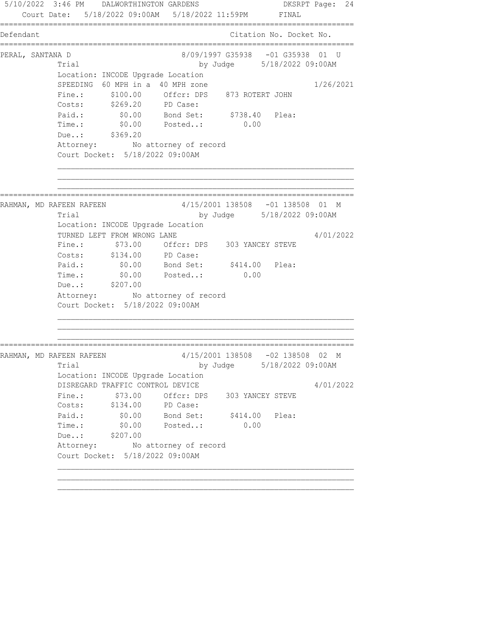5/10/2022 3:46 PM DALWORTHINGTON GARDENS DKSRPT Page: 24 Court Date: 5/18/2022 09:00AM 5/18/2022 11:59PM FINAL ================================================================================ Defendant Citation No. Docket No. ================================================================================ PERAL, SANTANA D 8/09/1997 G35938 -01 G35938 01 U Trial by Judge 5/18/2022 09:00AM Location: INCODE Upgrade Location SPEEDING 60 MPH in a 40 MPH zone 1/26/2021 Fine.: \$100.00 Offcr: DPS 873 ROTERT JOHN Costs: \$269.20 PD Case: Paid.: \$0.00 Bond Set: \$738.40 Plea: Time.: \$0.00 Posted..: 0.00 Due..: \$369.20 Attorney: No attorney of record Court Docket: 5/18/2022 09:00AM ================================================================================ RAHMAN, MD RAFEEN RAFEEN 4/15/2001 138508 -01 138508 01 M Trial by Judge 5/18/2022 09:00AM Location: INCODE Upgrade Location TURNED LEFT FROM WRONG LANE 4/01/2022 Fine.: \$73.00 Offcr: DPS 303 YANCEY STEVE Costs: \$134.00 PD Case: Paid.:  $$0.00$  Bond Set:  $$414.00$  Plea: Time.:  $$0.00$  Posted..: 0.00 Due..: \$207.00 Attorney: No attorney of record Court Docket: 5/18/2022 09:00AM ================================================================================ RAHMAN, MD RAFEEN RAFEEN 2000 12/15/2001 138508 -02 138508 02 M Trial by Judge 5/18/2022 09:00AM Location: INCODE Upgrade Location DISREGARD TRAFFIC CONTROL DEVICE 4/01/2022 Fine.: \$73.00 Offcr: DPS 303 YANCEY STEVE Costs: \$134.00 PD Case: Paid.:  $$0.00$  Bond Set:  $$414.00$  Plea: Time.: \$0.00 Posted..: 0.00 Due..: \$207.00 Attorney: No attorney of record Court Docket: 5/18/2022 09:00AM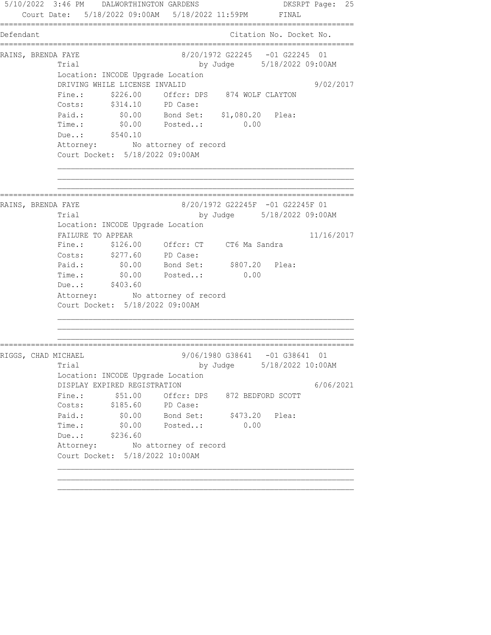5/10/2022 3:46 PM DALWORTHINGTON GARDENS DKSRPT Page: 25 Court Date: 5/18/2022 09:00AM 5/18/2022 11:59PM FINAL ================================================================================ Defendant Citation No. Docket No. ================================================================================ RAINS, BRENDA FAYE 68/20/1972 G22245 -01 G22245 01 Trial by Judge 5/18/2022 09:00AM Location: INCODE Upgrade Location DRIVING WHILE LICENSE INVALID 9/02/2017 Fine.:  $$226.00$  Offcr: DPS 874 WOLF CLAYTON Costs: \$314.10 PD Case: Paid.: \$0.00 Bond Set: \$1,080.20 Plea: Time.: \$0.00 Posted..: 0.00 Due..: \$540.10 Attorney: No attorney of record Court Docket: 5/18/2022 09:00AM ================================================================================ RAINS, BRENDA FAYE 68/20/1972 G22245F -01 G22245F 01 Trial by Judge 5/18/2022 09:00AM Location: INCODE Upgrade Location FAILURE TO APPEAR 11/16/2017 Fine.: \$126.00 Offcr: CT CT6 Ma Sandra Costs: \$277.60 PD Case: Paid.: \$0.00 Bond Set: \$807.20 Plea: Time.:  $$0.00$  Posted..: 0.00 Due..: \$403.60 Attorney: No attorney of record Court Docket: 5/18/2022 09:00AM ================================================================================ RIGGS, CHAD MICHAEL 9/06/1980 G38641 -01 G38641 01 Trial by Judge 5/18/2022 10:00AM Location: INCODE Upgrade Location DISPLAY EXPIRED REGISTRATION 6/06/2021 Fine.:  $$51.00$  Offcr: DPS 872 BEDFORD SCOTT Costs: \$185.60 PD Case: Paid.:  $$0.00$  Bond Set:  $$473.20$  Plea: Time.: \$0.00 Posted..: 0.00 Due..: \$236.60 Attorney: No attorney of record Court Docket: 5/18/2022 10:00AM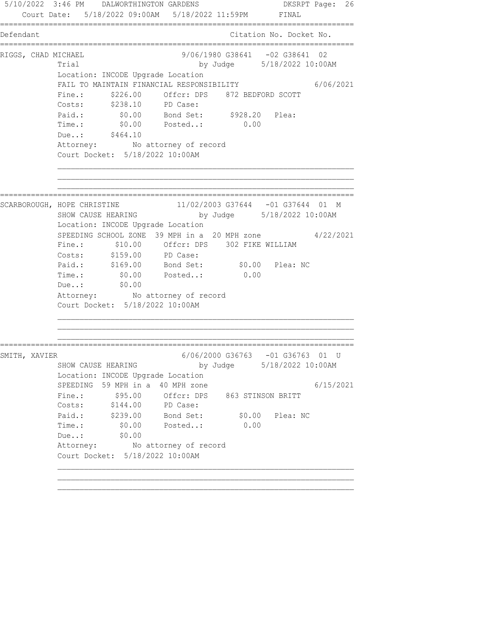5/10/2022 3:46 PM DALWORTHINGTON GARDENS DKSRPT Page: 26 Court Date: 5/18/2022 09:00AM 5/18/2022 11:59PM FINAL ================================================================================ Defendant Citation No. Docket No. ================================================================================ RIGGS, CHAD MICHAEL (9/06/1980 G38641 -02 G38641 02 Trial by Judge 5/18/2022 10:00AM Location: INCODE Upgrade Location FAIL TO MAINTAIN FINANCIAL RESPONSIBILITY 6/06/2021 Fine.: \$226.00 Offcr: DPS 872 BEDFORD SCOTT Costs: \$238.10 PD Case: Paid.: \$0.00 Bond Set: \$928.20 Plea: Time.: \$0.00 Posted..: 0.00 Due..: \$464.10 Attorney: No attorney of record Court Docket: 5/18/2022 10:00AM ================================================================================ SCARBOROUGH, HOPE CHRISTINE 11/02/2003 G37644 -01 G37644 01 M by Judge 5/18/2022 10:00AM Location: INCODE Upgrade Location SPEEDING SCHOOL ZONE 39 MPH in a 20 MPH zone  $4/22/2021$  Fine.: \$10.00 Offcr: DPS 302 FIKE WILLIAM Costs: \$159.00 PD Case: Paid.: \$169.00 Bond Set: \$0.00 Plea: NC Time.: \$0.00 Posted..: \$0.00<br>Due..: \$0.00 Due..: \$0.00 Attorney: No attorney of record Court Docket: 5/18/2022 10:00AM ================================================================================ SMITH, XAVIER 6/06/2000 G36763 -01 G36763 01 U by Judge 5/18/2022 10:00AM Location: INCODE Upgrade Location SPEEDING 59 MPH in a 40 MPH zone  $6/15/2021$  Fine.: \$95.00 Offcr: DPS 863 STINSON BRITT Costs: \$144.00 PD Case: Paid.: \$239.00 Bond Set: \$0.00 Plea: NC Time.: \$0.00 Posted..: 0.00 Due..: \$0.00 Due..: \$0.00<br>Attorney: No attorney of record Court Docket: 5/18/2022 10:00AM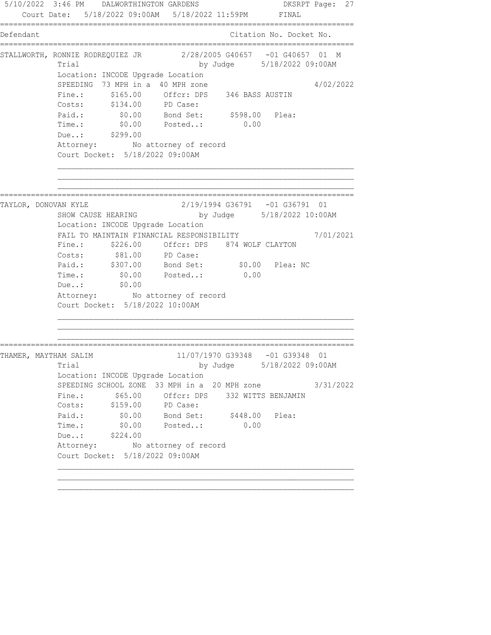5/10/2022 3:46 PM DALWORTHINGTON GARDENS DKSRPT Page: 27 Court Date: 5/18/2022 09:00AM 5/18/2022 11:59PM FINAL ================================================================================ Defendant Citation No. Docket No. ================================================================================ STALLWORTH, RONNIE RODREQUIEZ JR 2/28/2005 G40657 -01 G40657 01 M Trial by Judge 5/18/2022 09:00AM Location: INCODE Upgrade Location SPEEDING 73 MPH in a 40 MPH zone 4/02/2022 Fine.: \$165.00 Offcr: DPS 346 BASS AUSTIN Costs: \$134.00 PD Case: Paid.: \$0.00 Bond Set: \$598.00 Plea: Time.: \$0.00 Posted..: 0.00 Due..: \$299.00 Attorney: No attorney of record Court Docket: 5/18/2022 09:00AM ================================================================================ TAYLOR, DONOVAN KYLE 2/19/1994 G36791 -01 G36791 01 by Judge 5/18/2022 10:00AM Location: INCODE Upgrade Location FAIL TO MAINTAIN FINANCIAL RESPONSIBILITY 7/01/2021 Fine.: \$226.00 Offcr: DPS 874 WOLF CLAYTON Costs:  $$81.00$  PD Case: Paid.: \$307.00 Bond Set: \$0.00 Plea: NC Time.:  $$0.00$  Posted..: 0.00 Due..: \$0.00 Due..:  $$0.00$ <br>Attorney: No attorney of record Court Docket: 5/18/2022 10:00AM ================================================================================ THAMER, MAYTHAM SALIM 11/07/1970 G39348 -01 G39348 01 Trial by Judge 5/18/2022 09:00AM Location: INCODE Upgrade Location SPEEDING SCHOOL ZONE 33 MPH in a 20 MPH zone 3/31/2022 Fine.:  $$65.00$  Offcr: DPS 332 WITTS BENJAMIN Costs: \$159.00 PD Case: Paid.: \$0.00 Bond Set: \$448.00 Plea: Time.: \$0.00 Posted..: 0.00 Due..: \$224.00 Attorney: No attorney of record Court Docket: 5/18/2022 09:00AM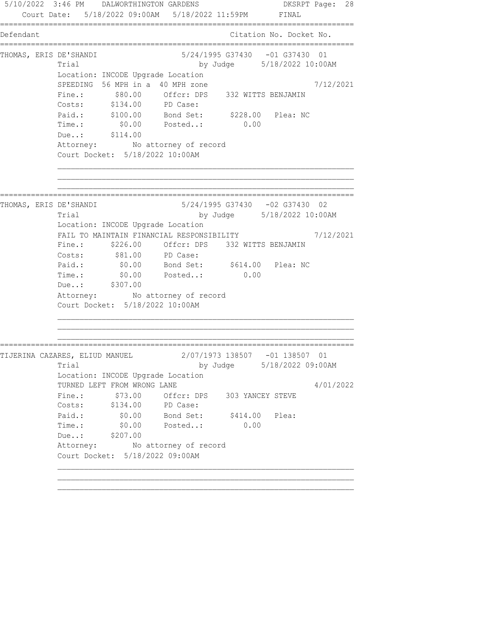5/10/2022 3:46 PM DALWORTHINGTON GARDENS DKSRPT Page: 28 Court Date: 5/18/2022 09:00AM 5/18/2022 11:59PM FINAL ================================================================================ Defendant Citation No. Docket No. ================================================================================ THOMAS, ERIS DE'SHANDI 6/24/1995 G37430 -01 G37430 01 Trial by Judge 5/18/2022 10:00AM Location: INCODE Upgrade Location SPEEDING 56 MPH in a 40 MPH zone  $7/12/2021$  Fine.: \$80.00 Offcr: DPS 332 WITTS BENJAMIN Costs: \$134.00 PD Case: Paid.: \$100.00 Bond Set: \$228.00 Plea: NC Time.: \$0.00 Posted..: 0.00 Due..: \$114.00 Attorney: No attorney of record Court Docket: 5/18/2022 10:00AM ================================================================================ THOMAS, ERIS DE'SHANDI 5/24/1995 G37430 -02 G37430 02 Trial by Judge 5/18/2022 10:00AM Location: INCODE Upgrade Location FAIL TO MAINTAIN FINANCIAL RESPONSIBILITY 7/12/2021 Fine.: \$226.00 Offcr: DPS 332 WITTS BENJAMIN Costs:  $$81.00$  PD Case: Paid.: \$0.00 Bond Set: \$614.00 Plea: NC Paid.: \$0.00 Bond Set: \$614.00 Plea: NC<br>Time.: \$0.00 Posted..: 0.00 Due..: \$307.00 Attorney: No attorney of record Court Docket: 5/18/2022 10:00AM ================================================================================ TIJERINA CAZARES, ELIUD MANUEL 2/07/1973 138507 -01 138507 01 Trial by Judge 5/18/2022 09:00AM Location: INCODE Upgrade Location TURNED LEFT FROM WRONG LANE 4/01/2022 Fine.:  $$73.00$  Offcr: DPS 303 YANCEY STEVE Costs: \$134.00 PD Case: Paid.:  $$0.00$  Bond Set:  $$414.00$  Plea: Time.: \$0.00 Posted..: 0.00 Due..: \$207.00 Attorney: No attorney of record Court Docket: 5/18/2022 09:00AM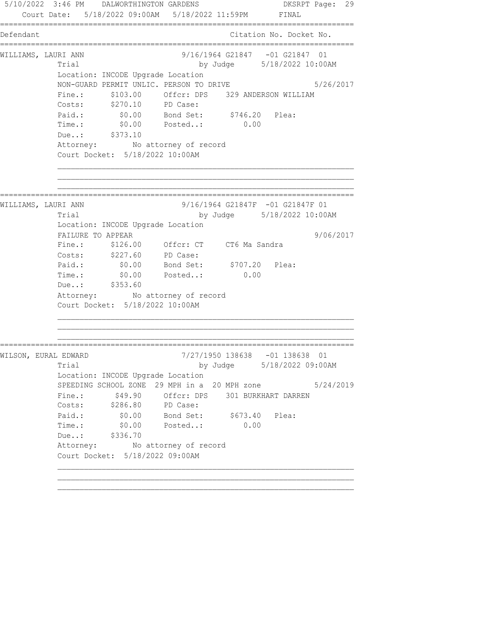5/10/2022 3:46 PM DALWORTHINGTON GARDENS DKSRPT Page: 29 Court Date: 5/18/2022 09:00AM 5/18/2022 11:59PM FINAL ================================================================================ Defendant Citation No. Docket No. ================================================================================ WILLIAMS, LAURI ANN 9/16/1964 G21847 -01 G21847 01 Trial by Judge 5/18/2022 10:00AM Location: INCODE Upgrade Location NON-GUARD PERMIT UNLIC. PERSON TO DRIVE 5/26/2017 Fine.:  $$103.00$  Offcr: DPS 329 ANDERSON WILLIAM Costs: \$270.10 PD Case: Paid.: \$0.00 Bond Set: \$746.20 Plea: Time.: \$0.00 Posted..: 0.00 Due..: \$373.10 Attorney: No attorney of record Court Docket: 5/18/2022 10:00AM ================================================================================ WILLIAMS, LAURI ANN 9/16/1964 G21847F -01 G21847F 01 Trial by Judge 5/18/2022 10:00AM Location: INCODE Upgrade Location FAILURE TO APPEAR 9/06/2017 Fine.: \$126.00 Offcr: CT CT6 Ma Sandra Costs: \$227.60 PD Case: Paid.: \$0.00 Bond Set: \$707.20 Plea: Time.:  $$0.00$  Posted..: 0.00 Due..: \$353.60 Attorney: No attorney of record Court Docket: 5/18/2022 10:00AM ================================================================================ WILSON, EURAL EDWARD 7/27/1950 138638 -01 138638 01 Trial by Judge 5/18/2022 09:00AM Location: INCODE Upgrade Location SPEEDING SCHOOL ZONE 29 MPH in a 20 MPH zone 5/24/2019 Fine.:  $$49.90$  Offcr: DPS 301 BURKHART DARREN Costs: \$286.80 PD Case: Paid.:  $$0.00$  Bond Set:  $$673.40$  Plea: Time.: \$0.00 Posted..: 0.00 Due..: \$336.70 Attorney: No attorney of record Court Docket: 5/18/2022 09:00AM